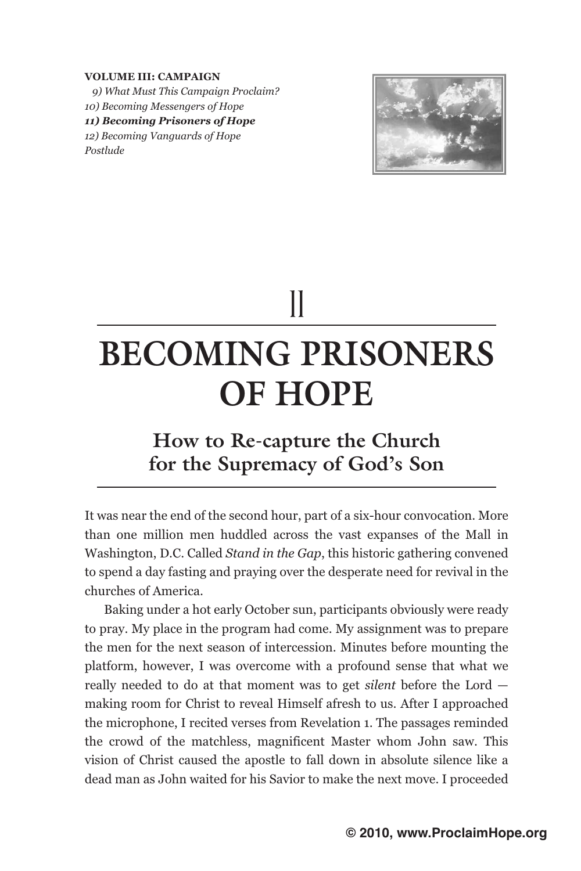#### **VOLUME III: CAMPAIGN**

*9) What Must This Campaign Proclaim? 10) Becoming Messengers of Hope 11) Becoming Prisoners of Hope 12) Becoming Vanguards of Hope*

*Postlude*



# 11

# **BECOMING PRISONERS OF HOPE**

# **How to Re-capture the Church for the Supremacy of God's Son**

It was near the end of the second hour, part of a six-hour convocation. More than one million men huddled across the vast expanses of the Mall in Washington, D.C. Called *Stand in the Gap*, this historic gathering convened to spend a day fasting and praying over the desperate need for revival in the churches of America.

Baking under a hot early October sun, participants obviously were ready to pray. My place in the program had come. My assignment was to prepare the men for the next season of intercession. Minutes before mounting the platform, however, I was overcome with a profound sense that what we really needed to do at that moment was to get *silent* before the Lord making room for Christ to reveal Himself afresh to us. After I approached the microphone, I recited verses from Revelation 1. The passages reminded the crowd of the matchless, magnificent Master whom John saw. This vision of Christ caused the apostle to fall down in absolute silence like a dead man as John waited for his Savior to make the next move. I proceeded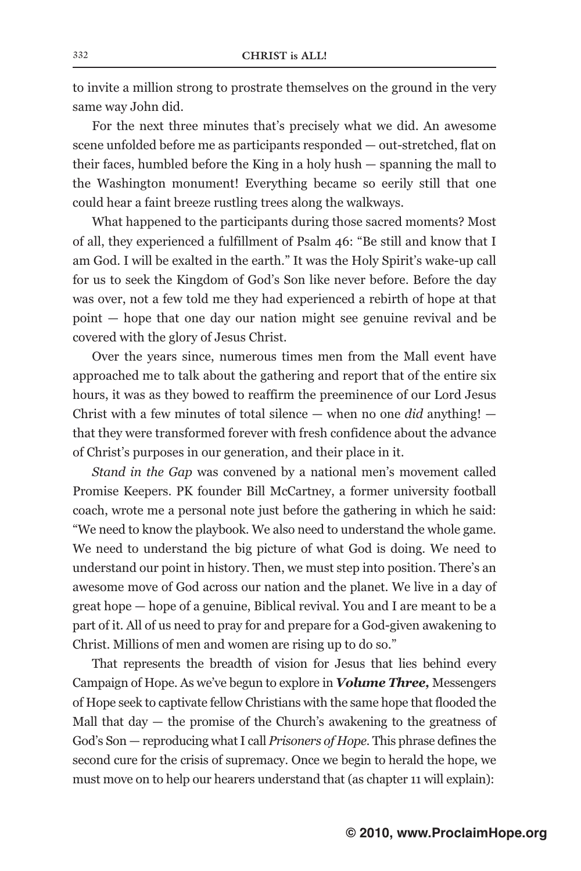to invite a million strong to prostrate themselves on the ground in the very same way John did.

For the next three minutes that's precisely what we did. An awesome scene unfolded before me as participants responded — out-stretched, flat on their faces, humbled before the King in a holy hush — spanning the mall to the Washington monument! Everything became so eerily still that one could hear a faint breeze rustling trees along the walkways.

What happened to the participants during those sacred moments? Most of all, they experienced a fulfillment of Psalm 46: "Be still and know that I am God. I will be exalted in the earth." It was the Holy Spirit's wake-up call for us to seek the Kingdom of God's Son like never before. Before the day was over, not a few told me they had experienced a rebirth of hope at that point — hope that one day our nation might see genuine revival and be covered with the glory of Jesus Christ.

Over the years since, numerous times men from the Mall event have approached me to talk about the gathering and report that of the entire six hours, it was as they bowed to reaffirm the preeminence of our Lord Jesus Christ with a few minutes of total silence — when no one *did* anything! that they were transformed forever with fresh confidence about the advance of Christ's purposes in our generation, and their place in it.

*Stand in the Gap* was convened by a national men's movement called Promise Keepers. PK founder Bill McCartney, a former university football coach, wrote me a personal note just before the gathering in which he said: "We need to know the playbook. We also need to understand the whole game. We need to understand the big picture of what God is doing. We need to understand our point in history. Then, we must step into position. There's an awesome move of God across our nation and the planet. We live in a day of great hope — hope of a genuine, Biblical revival. You and I are meant to be a part of it. All of us need to pray for and prepare for a God-given awakening to Christ. Millions of men and women are rising up to do so."

That represents the breadth of vision for Jesus that lies behind every Campaign of Hope. As we've begun to explore in *Volume Three,* Messengers of Hope seek to captivate fellow Christians with the same hope that flooded the Mall that  $day -$  the promise of the Church's awakening to the greatness of God's Son — reproducing what I call *Prisoners of Hope*. This phrase defines the second cure for the crisis of supremacy. Once we begin to herald the hope, we must move on to help our hearers understand that (as chapter 11 will explain):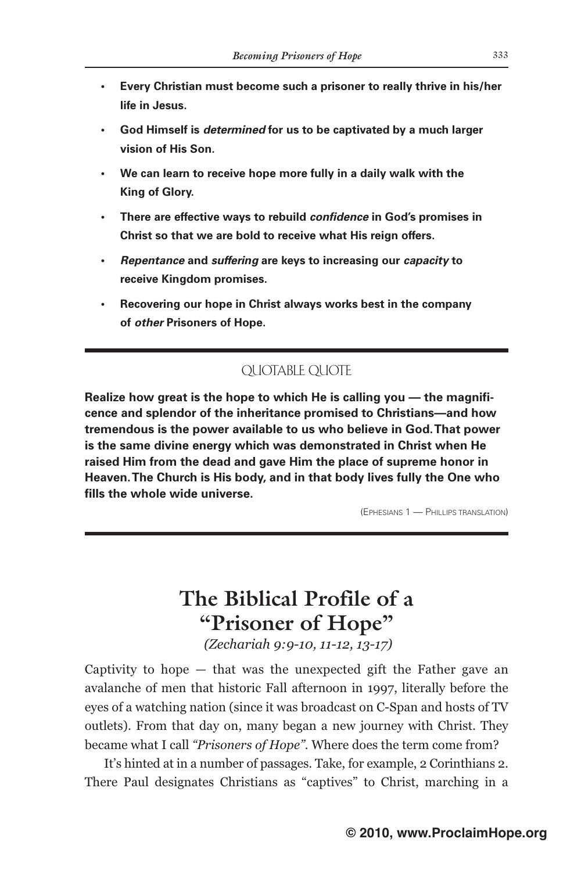- **• Every Christian must become such a prisoner to really thrive in his/her life in Jesus.**
- **• God Himself is** *determined* **for us to be captivated by a much larger vision of His Son.**
- **• We can learn to receive hope more fully in a daily walk with the King of Glory.**
- **• There are effective ways to rebuild** *confidence* **in God's promises in Christ so that we are bold to receive what His reign offers.**
- **•** *Repentance* **and** *suffering* **are keys to increasing our** *capacity* **to receive Kingdom promises.**
- **• Recovering our hope in Christ always works best in the company of** *other* **Prisoners of Hope.**

### QUOTABLE QUOTE

**Realize how great is the hope to which He is calling you — the magnificence and splendor of the inheritance promised to Christians—and how tremendous is the power available to us who believe in God.That power is the same divine energy which was demonstrated in Christ when He raised Him from the dead and gave Him the place of supreme honor in Heaven.The Church is His body, and in that body lives fully the One who fills the whole wide universe.**

(EPHESIANS 1 — PHILLIPS TRANSLATION)

# **The Biblical Profile of a "Prisoner of Hope"**

*(Zechariah 9:9-10, 11-12, 13-17)*

Captivity to hope  $-$  that was the unexpected gift the Father gave an avalanche of men that historic Fall afternoon in 1997, literally before the eyes of a watching nation (since it was broadcast on C-Span and hosts of TV outlets). From that day on, many began a new journey with Christ. They became what I call *"Prisoners of Hope".* Where does the term come from?

It's hinted at in a number of passages. Take, for example, 2 Corinthians 2. There Paul designates Christians as "captives" to Christ, marching in a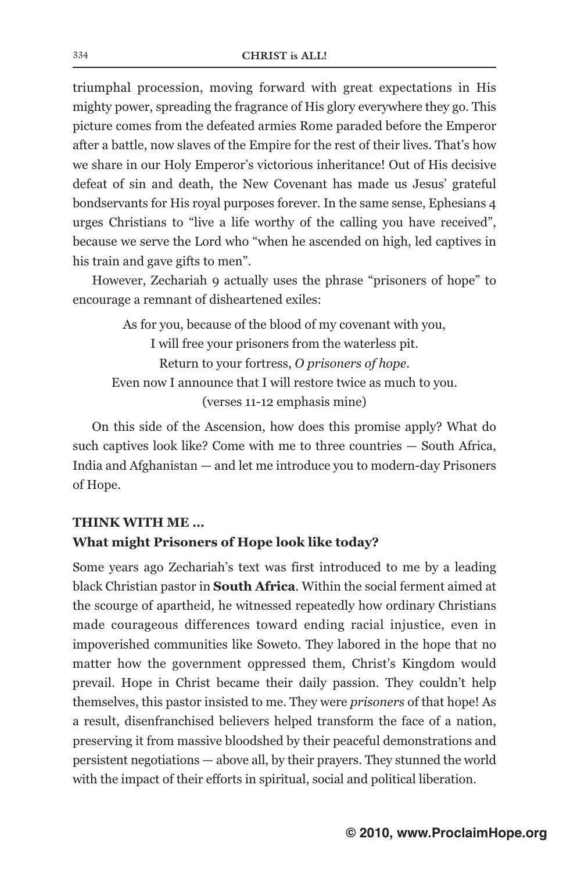triumphal procession, moving forward with great expectations in His mighty power, spreading the fragrance of His glory everywhere they go. This picture comes from the defeated armies Rome paraded before the Emperor after a battle, now slaves of the Empire for the rest of their lives. That's how we share in our Holy Emperor's victorious inheritance! Out of His decisive defeat of sin and death, the New Covenant has made us Jesus' grateful bondservants for His royal purposes forever. In the same sense, Ephesians 4 urges Christians to "live a life worthy of the calling you have received", because we serve the Lord who "when he ascended on high, led captives in his train and gave gifts to men".

However, Zechariah 9 actually uses the phrase "prisoners of hope" to encourage a remnant of disheartened exiles:

As for you, because of the blood of my covenant with you, I will free your prisoners from the waterless pit. Return to your fortress, *O prisoners of hope*. Even now I announce that I will restore twice as much to you. (verses 11-12 emphasis mine)

On this side of the Ascension, how does this promise apply? What do such captives look like? Come with me to three countries — South Africa, India and Afghanistan — and let me introduce you to modern-day Prisoners of Hope.

## **THINK WITH ME … What might Prisoners of Hope look like today?**

Some years ago Zechariah's text was first introduced to me by a leading black Christian pastor in **South Africa**. Within the social ferment aimed at the scourge of apartheid, he witnessed repeatedly how ordinary Christians made courageous differences toward ending racial injustice, even in impoverished communities like Soweto. They labored in the hope that no matter how the government oppressed them, Christ's Kingdom would prevail. Hope in Christ became their daily passion. They couldn't help themselves, this pastor insisted to me. They were *prisoners* of that hope! As a result, disenfranchised believers helped transform the face of a nation, preserving it from massive bloodshed by their peaceful demonstrations and persistent negotiations — above all, by their prayers. They stunned the world with the impact of their efforts in spiritual, social and political liberation.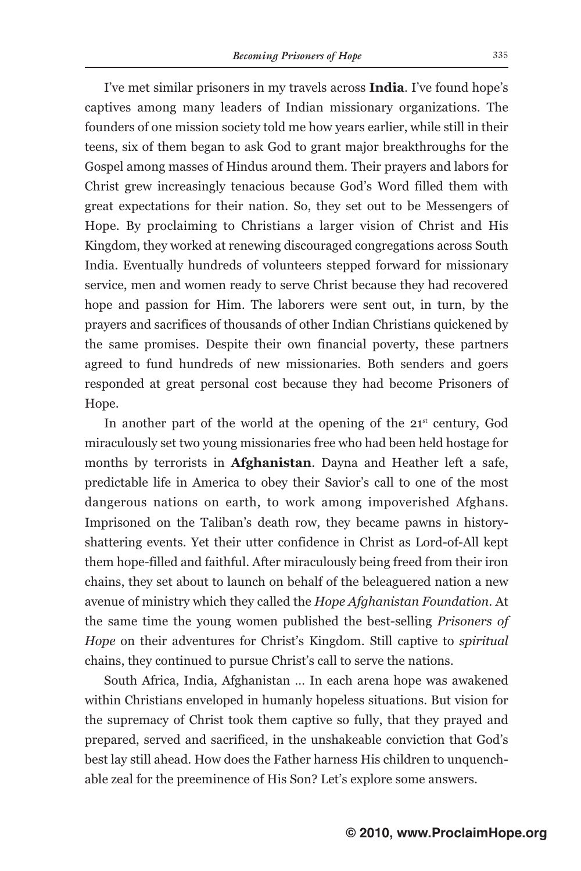I've met similar prisoners in my travels across **India**. I've found hope's captives among many leaders of Indian missionary organizations. The founders of one mission society told me how years earlier, while still in their teens, six of them began to ask God to grant major breakthroughs for the Gospel among masses of Hindus around them. Their prayers and labors for Christ grew increasingly tenacious because God's Word filled them with great expectations for their nation. So, they set out to be Messengers of Hope. By proclaiming to Christians a larger vision of Christ and His Kingdom, they worked at renewing discouraged congregations across South India. Eventually hundreds of volunteers stepped forward for missionary service, men and women ready to serve Christ because they had recovered hope and passion for Him. The laborers were sent out, in turn, by the prayers and sacrifices of thousands of other Indian Christians quickened by the same promises. Despite their own financial poverty, these partners agreed to fund hundreds of new missionaries. Both senders and goers responded at great personal cost because they had become Prisoners of Hope.

In another part of the world at the opening of the  $21<sup>st</sup>$  century, God miraculously set two young missionaries free who had been held hostage for months by terrorists in **Afghanistan**. Dayna and Heather left a safe, predictable life in America to obey their Savior's call to one of the most dangerous nations on earth, to work among impoverished Afghans. Imprisoned on the Taliban's death row, they became pawns in historyshattering events. Yet their utter confidence in Christ as Lord-of-All kept them hope-filled and faithful. After miraculously being freed from their iron chains, they set about to launch on behalf of the beleaguered nation a new avenue of ministry which they called the *Hope Afghanistan Foundation*. At the same time the young women published the best-selling *Prisoners of Hope* on their adventures for Christ's Kingdom. Still captive to *spiritual* chains, they continued to pursue Christ's call to serve the nations.

South Africa, India, Afghanistan … In each arena hope was awakened within Christians enveloped in humanly hopeless situations. But vision for the supremacy of Christ took them captive so fully, that they prayed and prepared, served and sacrificed, in the unshakeable conviction that God's best lay still ahead. How does the Father harness His children to unquenchable zeal for the preeminence of His Son? Let's explore some answers.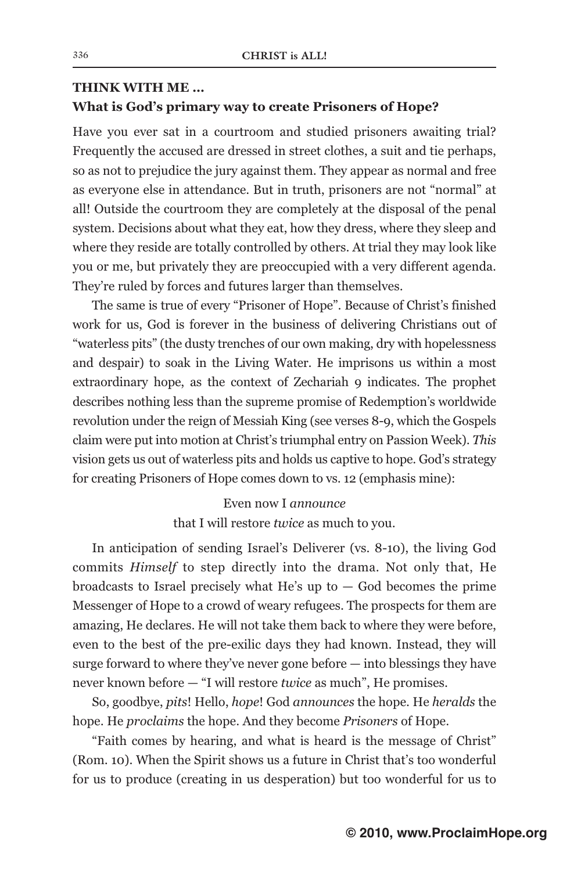# **THINK WITH ME … What is God's primary way to create Prisoners of Hope?**

Have you ever sat in a courtroom and studied prisoners awaiting trial? Frequently the accused are dressed in street clothes, a suit and tie perhaps, so as not to prejudice the jury against them. They appear as normal and free as everyone else in attendance. But in truth, prisoners are not "normal" at all! Outside the courtroom they are completely at the disposal of the penal system. Decisions about what they eat, how they dress, where they sleep and where they reside are totally controlled by others. At trial they may look like you or me, but privately they are preoccupied with a very different agenda. They're ruled by forces and futures larger than themselves.

The same is true of every "Prisoner of Hope". Because of Christ's finished work for us, God is forever in the business of delivering Christians out of "waterless pits" (the dusty trenches of our own making, dry with hopelessness and despair) to soak in the Living Water. He imprisons us within a most extraordinary hope, as the context of Zechariah 9 indicates. The prophet describes nothing less than the supreme promise of Redemption's worldwide revolution under the reign of Messiah King (see verses 8-9, which the Gospels claim were put into motion at Christ's triumphal entry on Passion Week). *This* vision gets us out of waterless pits and holds us captive to hope. God's strategy for creating Prisoners of Hope comes down to vs. 12 (emphasis mine):

> Even now I *announce* that I will restore *twice* as much to you.

In anticipation of sending Israel's Deliverer (vs. 8-10), the living God commits *Himself* to step directly into the drama. Not only that, He broadcasts to Israel precisely what He's up to  $-$  God becomes the prime Messenger of Hope to a crowd of weary refugees. The prospects for them are amazing, He declares. He will not take them back to where they were before, even to the best of the pre-exilic days they had known. Instead, they will surge forward to where they've never gone before — into blessings they have never known before — "I will restore *twice* as much", He promises.

So, goodbye, *pits*! Hello, *hope*! God *announces* the hope. He *heralds* the hope. He *proclaims* the hope. And they become *Prisoners* of Hope.

"Faith comes by hearing, and what is heard is the message of Christ" (Rom. 10). When the Spirit shows us a future in Christ that's too wonderful for us to produce (creating in us desperation) but too wonderful for us to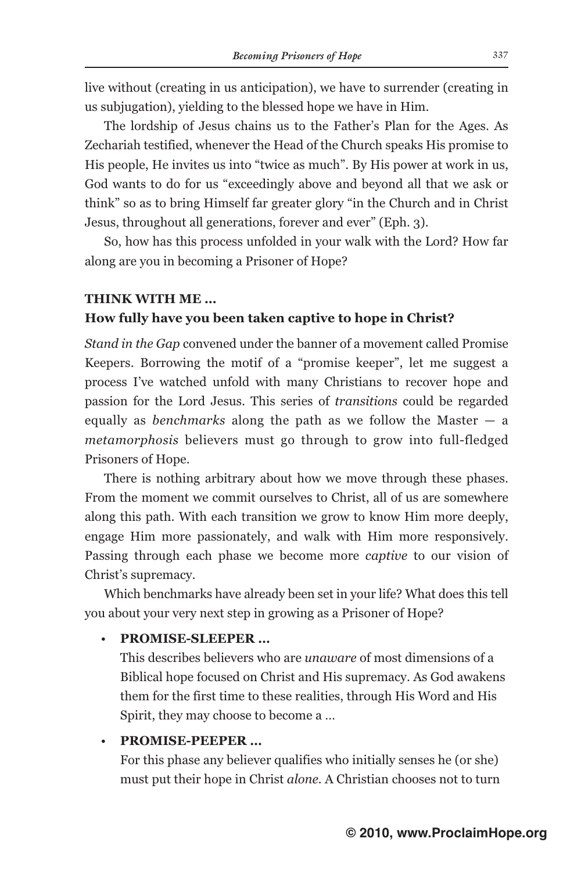live without (creating in us anticipation), we have to surrender (creating in us subjugation), yielding to the blessed hope we have in Him.

The lordship of Jesus chains us to the Father's Plan for the Ages. As Zechariah testified, whenever the Head of the Church speaks His promise to His people, He invites us into "twice as much". By His power at work in us, God wants to do for us "exceedingly above and beyond all that we ask or think" so as to bring Himself far greater glory "in the Church and in Christ Jesus, throughout all generations, forever and ever" (Eph. 3).

So, how has this process unfolded in your walk with the Lord? How far along are you in becoming a Prisoner of Hope?

### **THINK WITH ME …**

### **How fully have you been taken captive to hope in Christ?**

*Stand in the Gap* convened under the banner of a movement called Promise Keepers. Borrowing the motif of a "promise keeper", let me suggest a process I've watched unfold with many Christians to recover hope and passion for the Lord Jesus. This series of *transitions* could be regarded equally as *benchmarks* along the path as we follow the Master — a *metamorphosis* believers must go through to grow into full-fledged Prisoners of Hope.

There is nothing arbitrary about how we move through these phases. From the moment we commit ourselves to Christ, all of us are somewhere along this path. With each transition we grow to know Him more deeply, engage Him more passionately, and walk with Him more responsively. Passing through each phase we become more *captive* to our vision of Christ's supremacy.

Which benchmarks have already been set in your life? What does this tell you about your very next step in growing as a Prisoner of Hope?

### • **PROMISE-SLEEPER …**

This describes believers who are *unaware* of most dimensions of a Biblical hope focused on Christ and His supremacy. As God awakens them for the first time to these realities, through His Word and His Spirit, they may choose to become a …

### • **PROMISE-PEEPER …**

For this phase any believer qualifies who initially senses he (or she) must put their hope in Christ *alone.* A Christian chooses not to turn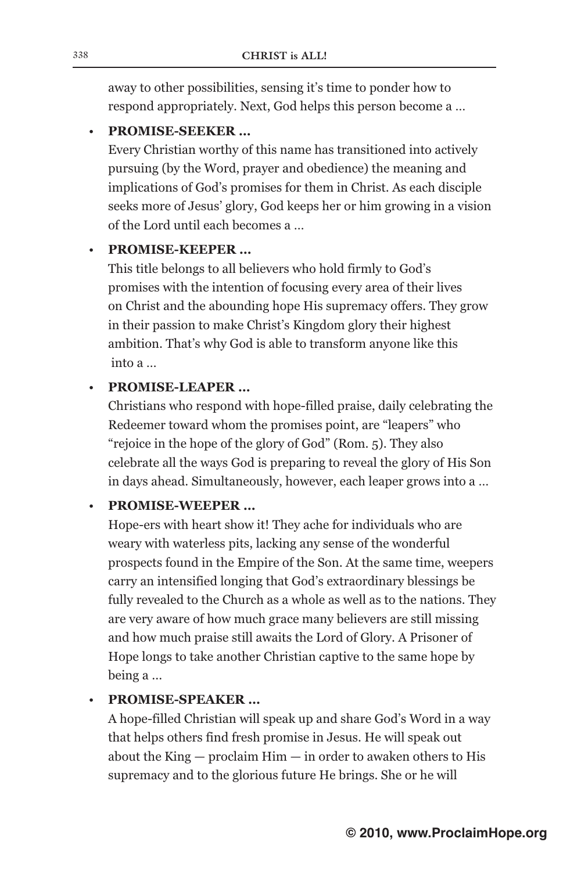away to other possibilities, sensing it's time to ponder how to respond appropriately. Next, God helps this person become a …

### • **PROMISE-SEEKER …**

Every Christian worthy of this name has transitioned into actively pursuing (by the Word, prayer and obedience) the meaning and implications of God's promises for them in Christ. As each disciple seeks more of Jesus' glory, God keeps her or him growing in a vision of the Lord until each becomes a …

### • **PROMISE-KEEPER …**

This title belongs to all believers who hold firmly to God's promises with the intention of focusing every area of their lives on Christ and the abounding hope His supremacy offers. They grow in their passion to make Christ's Kingdom glory their highest ambition. That's why God is able to transform anyone like this into a …

### • **PROMISE-LEAPER …**

Christians who respond with hope-filled praise, daily celebrating the Redeemer toward whom the promises point, are "leapers" who "rejoice in the hope of the glory of God" (Rom. 5). They also celebrate all the ways God is preparing to reveal the glory of His Son in days ahead. Simultaneously, however, each leaper grows into a …

### • **PROMISE-WEEPER …**

Hope-ers with heart show it! They ache for individuals who are weary with waterless pits, lacking any sense of the wonderful prospects found in the Empire of the Son. At the same time, weepers carry an intensified longing that God's extraordinary blessings be fully revealed to the Church as a whole as well as to the nations. They are very aware of how much grace many believers are still missing and how much praise still awaits the Lord of Glory. A Prisoner of Hope longs to take another Christian captive to the same hope by being a ...

### • **PROMISE-SPEAKER …**

A hope-filled Christian will speak up and share God's Word in a way that helps others find fresh promise in Jesus. He will speak out about the King  $-$  proclaim Him  $-$  in order to awaken others to His supremacy and to the glorious future He brings. She or he will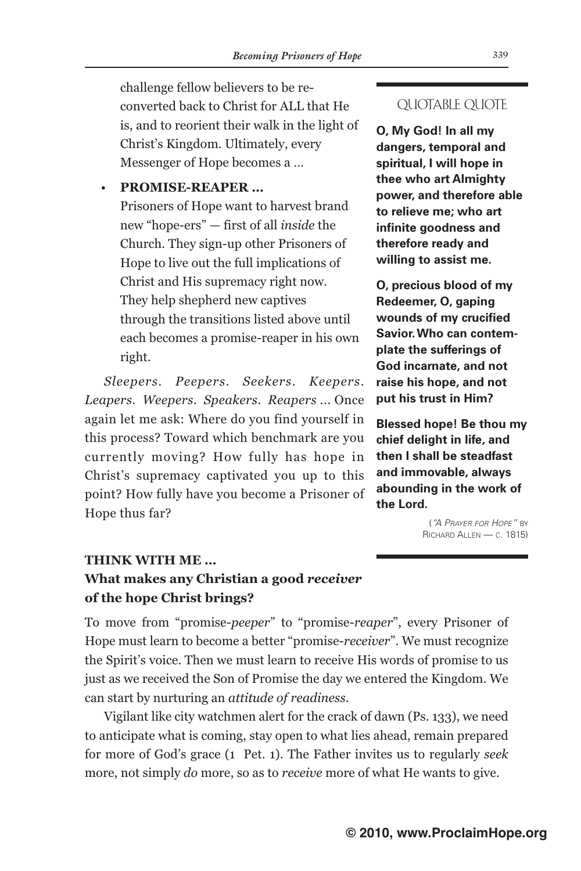challenge fellow believers to be reconverted back to Christ for ALL that He is, and to reorient their walk in the light of Christ's Kingdom. Ultimately, every Messenger of Hope becomes a …

### • **PROMISE-REAPER …**

Prisoners of Hope want to harvest brand new "hope-ers" — first of all *inside* the Church. They sign-up other Prisoners of Hope to live out the full implications of Christ and His supremacy right now. They help shepherd new captives through the transitions listed above until each becomes a promise-reaper in his own right.

*Sleepers. Peepers. Seekers. Keepers. Leapers. Weepers. Speakers. Reapers ...* Once again let me ask: Where do you find yourself in this process? Toward which benchmark are you currently moving? How fully has hope in Christ's supremacy captivated you up to this point? How fully have you become a Prisoner of Hope thus far?

### QUOTABLE QUOTE

**O, My God! In all my dangers, temporal and spiritual, I will hope in thee who art Almighty power, and therefore able to relieve me; who art infinite goodness and therefore ready and willing to assist me.**

**O, precious blood of my Redeemer, O, gaping wounds of my crucified Savior.Who can contemplate the sufferings of God incarnate, and not raise his hope, and not put his trust in Him?**

**Blessed hope! Be thou my chief delight in life, and then I shall be steadfast and immovable, always abounding in the work of the Lord.**

> (*"A PRAYER FOR HOPE"* BY RICHARD ALLEN — C. 1815)

# **THINK WITH ME … What makes any Christian a good** *receiver* **of the hope Christ brings?**

To move from "promise-*peeper*" to "promise-*reaper*", every Prisoner of Hope must learn to become a better "promise-*receiver*". We must recognize the Spirit's voice. Then we must learn to receive His words of promise to us just as we received the Son of Promise the day we entered the Kingdom. We can start by nurturing an *attitude of readiness*.

Vigilant like city watchmen alert for the crack of dawn (Ps. 133), we need to anticipate what is coming, stay open to what lies ahead, remain prepared for more of God's grace (1 Pet. 1). The Father invites us to regularly *seek* more, not simply *do* more, so as to *receive* more of what He wants to give.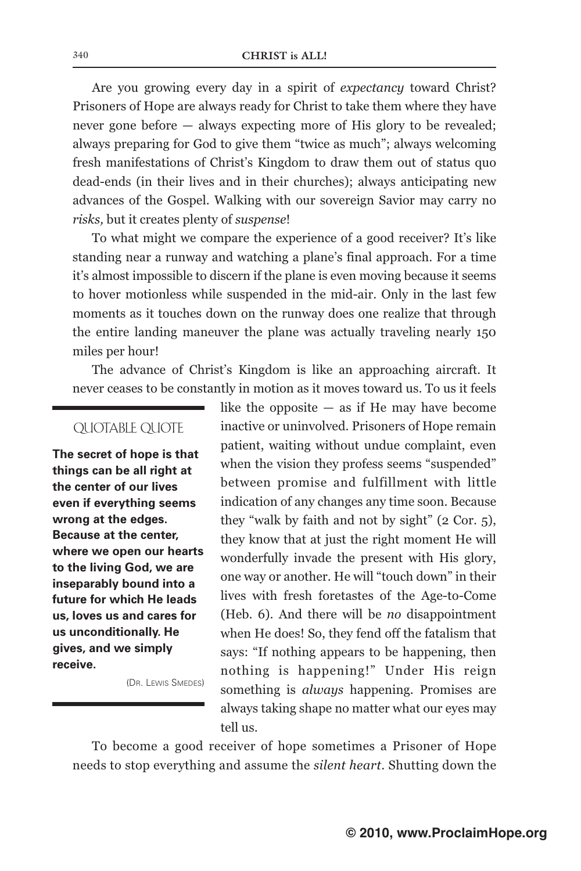Are you growing every day in a spirit of *expectancy* toward Christ? Prisoners of Hope are always ready for Christ to take them where they have never gone before — always expecting more of His glory to be revealed; always preparing for God to give them "twice as much"; always welcoming fresh manifestations of Christ's Kingdom to draw them out of status quo dead-ends (in their lives and in their churches); always anticipating new advances of the Gospel. Walking with our sovereign Savior may carry no *risks,* but it creates plenty of *suspense*!

To what might we compare the experience of a good receiver? It's like standing near a runway and watching a plane's final approach. For a time it's almost impossible to discern if the plane is even moving because it seems to hover motionless while suspended in the mid-air. Only in the last few moments as it touches down on the runway does one realize that through the entire landing maneuver the plane was actually traveling nearly 150 miles per hour!

The advance of Christ's Kingdom is like an approaching aircraft. It never ceases to be constantly in motion as it moves toward us. To us it feels

#### QUOTABLE QUOTE

**The secret of hope is that things can be all right at the center of our lives even if everything seems wrong at the edges. Because at the center, where we open our hearts to the living God, we are inseparably bound into a future for which He leads us, loves us and cares for us unconditionally. He gives, and we simply receive.**

(DR. LEWIS SMEDES)

like the opposite  $-$  as if He may have become inactive or uninvolved. Prisoners of Hope remain patient, waiting without undue complaint, even when the vision they profess seems "suspended" between promise and fulfillment with little indication of any changes any time soon. Because they "walk by faith and not by sight" (2 Cor. 5), they know that at just the right moment He will wonderfully invade the present with His glory, one way or another. He will "touch down" in their lives with fresh foretastes of the Age-to-Come (Heb. 6). And there will be *no* disappointment when He does! So, they fend off the fatalism that says: "If nothing appears to be happening, then nothing is happening!" Under His reign something is *always* happening. Promises are always taking shape no matter what our eyes may tell us.

To become a good receiver of hope sometimes a Prisoner of Hope needs to stop everything and assume the *silent heart*. Shutting down the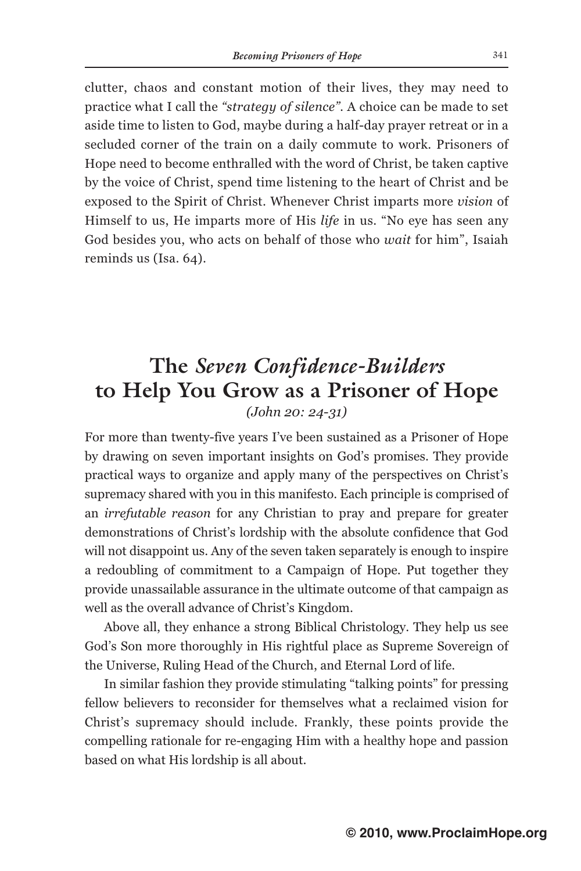clutter, chaos and constant motion of their lives, they may need to practice what I call the *"strategy of silence".* A choice can be made to set aside time to listen to God, maybe during a half-day prayer retreat or in a secluded corner of the train on a daily commute to work. Prisoners of Hope need to become enthralled with the word of Christ, be taken captive by the voice of Christ, spend time listening to the heart of Christ and be exposed to the Spirit of Christ. Whenever Christ imparts more *vision* of Himself to us, He imparts more of His *life* in us. "No eye has seen any God besides you, who acts on behalf of those who *wait* for him", Isaiah reminds us (Isa. 64).

# **The** *Seven Confidence-Builders* **to Help You Grow as a Prisoner of Hope** *(John 20: 24-31)*

For more than twenty-five years I've been sustained as a Prisoner of Hope by drawing on seven important insights on God's promises. They provide practical ways to organize and apply many of the perspectives on Christ's supremacy shared with you in this manifesto. Each principle is comprised of an *irrefutable reason* for any Christian to pray and prepare for greater demonstrations of Christ's lordship with the absolute confidence that God will not disappoint us. Any of the seven taken separately is enough to inspire a redoubling of commitment to a Campaign of Hope. Put together they provide unassailable assurance in the ultimate outcome of that campaign as well as the overall advance of Christ's Kingdom.

Above all, they enhance a strong Biblical Christology. They help us see God's Son more thoroughly in His rightful place as Supreme Sovereign of the Universe, Ruling Head of the Church, and Eternal Lord of life.

In similar fashion they provide stimulating "talking points" for pressing fellow believers to reconsider for themselves what a reclaimed vision for Christ's supremacy should include. Frankly, these points provide the compelling rationale for re-engaging Him with a healthy hope and passion based on what His lordship is all about.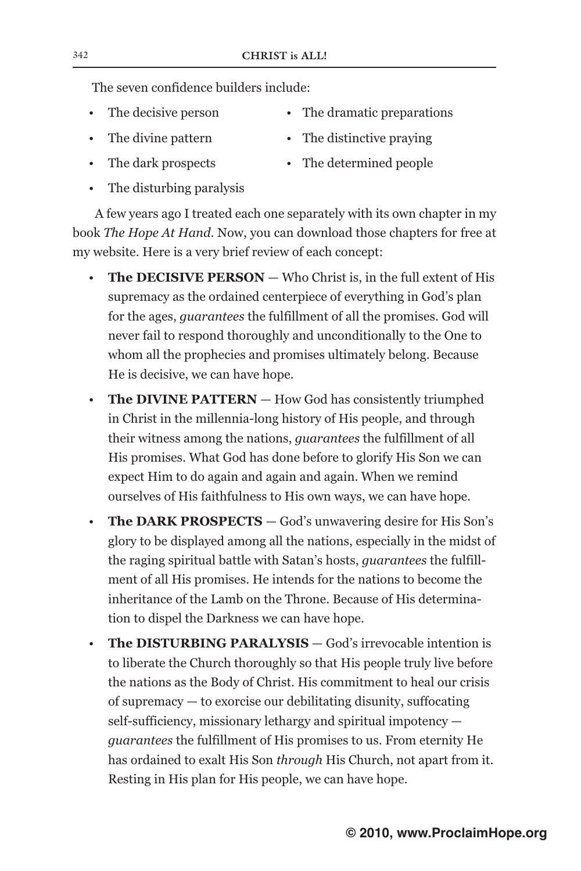The seven confidence builders include:

- 
- 
- 
- The disturbing paralysis
- The decisive person The dramatic preparations
- The divine pattern The distinctive praying
- The dark prospects The determined people

A few years ago I treated each one separately with its own chapter in my book *The Hope At Hand*. Now, you can download those chapters for free at my website. Here is a very brief review of each concept:

- **The DECISIVE PERSON** Who Christ is, in the full extent of His supremacy as the ordained centerpiece of everything in God's plan for the ages, *guarantees* the fulfillment of all the promises. God will never fail to respond thoroughly and unconditionally to the One to whom all the prophecies and promises ultimately belong. Because He is decisive, we can have hope.
- **The DIVINE PATTERN** How God has consistently triumphed in Christ in the millennia-long history of His people, and through their witness among the nations, *guarantees* the fulfillment of all His promises. What God has done before to glorify His Son we can expect Him to do again and again and again. When we remind ourselves of His faithfulness to His own ways, we can have hope.
- **The DARK PROSPECTS** God's unwavering desire for His Son's glory to be displayed among all the nations, especially in the midst of the raging spiritual battle with Satan's hosts, *guarantees* the fulfillment of all His promises. He intends for the nations to become the inheritance of the Lamb on the Throne. Because of His determination to dispel the Darkness we can have hope.
- **The DISTURBING PARALYSIS** God's irrevocable intention is to liberate the Church thoroughly so that His people truly live before the nations as the Body of Christ. His commitment to heal our crisis of supremacy — to exorcise our debilitating disunity, suffocating self-sufficiency, missionary lethargy and spiritual impotency *guarantees* the fulfillment of His promises to us. From eternity He has ordained to exalt His Son *through* His Church, not apart from it. Resting in His plan for His people, we can have hope.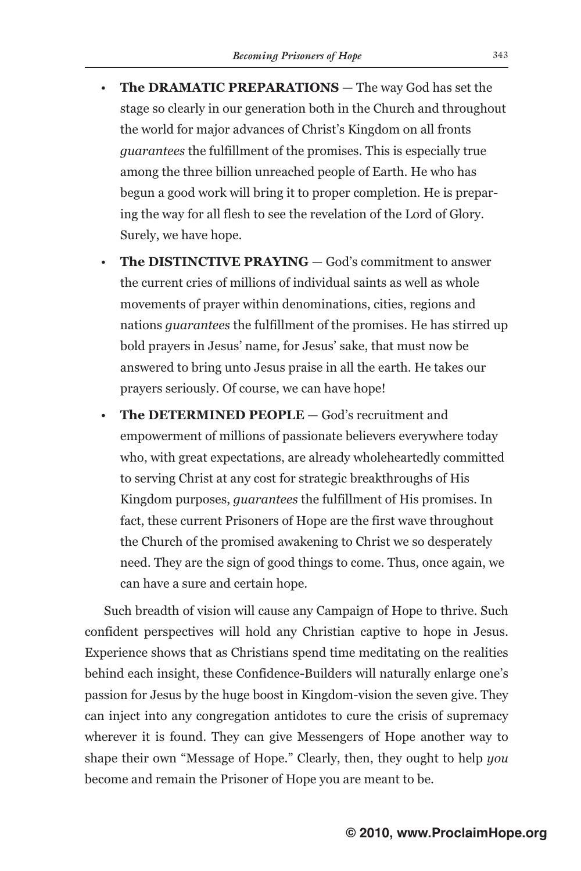- **The DRAMATIC PREPARATIONS** The way God has set the stage so clearly in our generation both in the Church and throughout the world for major advances of Christ's Kingdom on all fronts *guarantees* the fulfillment of the promises. This is especially true among the three billion unreached people of Earth. He who has begun a good work will bring it to proper completion. He is preparing the way for all flesh to see the revelation of the Lord of Glory. Surely, we have hope.
- **The DISTINCTIVE PRAYING** God's commitment to answer the current cries of millions of individual saints as well as whole movements of prayer within denominations, cities, regions and nations *guarantees* the fulfillment of the promises. He has stirred up bold prayers in Jesus' name, for Jesus' sake, that must now be answered to bring unto Jesus praise in all the earth. He takes our prayers seriously. Of course, we can have hope!
- **The DETERMINED PEOPLE** God's recruitment and empowerment of millions of passionate believers everywhere today who, with great expectations, are already wholeheartedly committed to serving Christ at any cost for strategic breakthroughs of His Kingdom purposes, *guarantees* the fulfillment of His promises. In fact, these current Prisoners of Hope are the first wave throughout the Church of the promised awakening to Christ we so desperately need. They are the sign of good things to come. Thus, once again, we can have a sure and certain hope.

Such breadth of vision will cause any Campaign of Hope to thrive. Such confident perspectives will hold any Christian captive to hope in Jesus. Experience shows that as Christians spend time meditating on the realities behind each insight, these Confidence-Builders will naturally enlarge one's passion for Jesus by the huge boost in Kingdom-vision the seven give. They can inject into any congregation antidotes to cure the crisis of supremacy wherever it is found. They can give Messengers of Hope another way to shape their own "Message of Hope." Clearly, then, they ought to help *you* become and remain the Prisoner of Hope you are meant to be.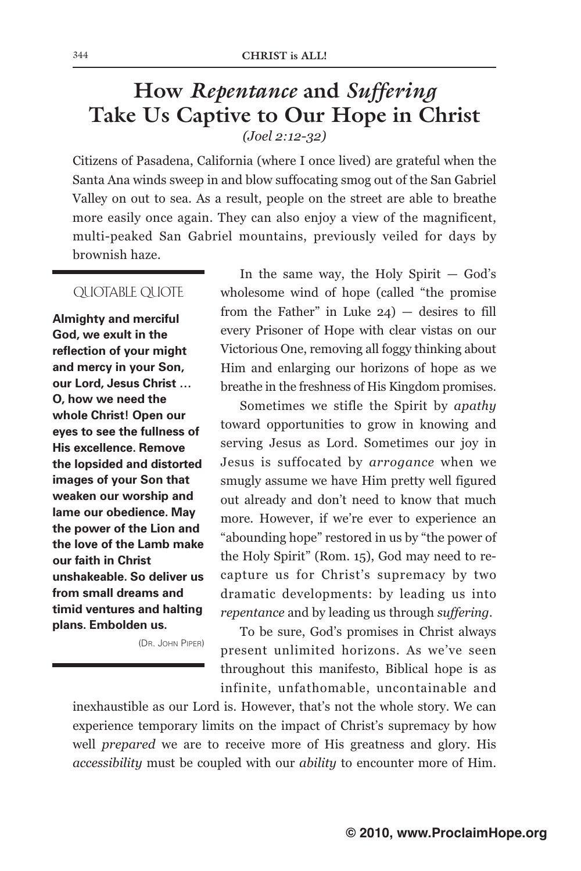# **How** *Repentance* **and** *Suffering* **Take Us Captive to Our Hope in Christ** *(Joel 2:12-32)*

Citizens of Pasadena, California (where I once lived) are grateful when the Santa Ana winds sweep in and blow suffocating smog out of the San Gabriel Valley on out to sea. As a result, people on the street are able to breathe more easily once again. They can also enjoy a view of the magnificent, multi-peaked San Gabriel mountains, previously veiled for days by brownish haze.

#### QUOTABLE QUOTE

**Almighty and merciful God, we exult in the reflection of your might and mercy in your Son, our Lord, Jesus Christ … O, how we need the whole Christ! Open our eyes to see the fullness of His excellence. Remove the lopsided and distorted images of your Son that weaken our worship and lame our obedience. May the power of the Lion and the love of the Lamb make our faith in Christ unshakeable. So deliver us from small dreams and timid ventures and halting plans. Embolden us.**

(DR. JOHN PIPER)

In the same way, the Holy Spirit  $-$  God's wholesome wind of hope (called "the promise from the Father" in Luke  $24$ )  $-$  desires to fill every Prisoner of Hope with clear vistas on our Victorious One, removing all foggy thinking about Him and enlarging our horizons of hope as we breathe in the freshness of His Kingdom promises.

Sometimes we stifle the Spirit by *apathy* toward opportunities to grow in knowing and serving Jesus as Lord. Sometimes our joy in Jesus is suffocated by *arrogance* when we smugly assume we have Him pretty well figured out already and don't need to know that much more. However, if we're ever to experience an "abounding hope" restored in us by "the power of the Holy Spirit" (Rom. 15), God may need to recapture us for Christ's supremacy by two dramatic developments: by leading us into *repentance* and by leading us through *suffering*.

To be sure, God's promises in Christ always present unlimited horizons. As we've seen throughout this manifesto, Biblical hope is as infinite, unfathomable, uncontainable and

inexhaustible as our Lord is. However, that's not the whole story. We can experience temporary limits on the impact of Christ's supremacy by how well *prepared* we are to receive more of His greatness and glory. His *accessibility* must be coupled with our *ability* to encounter more of Him.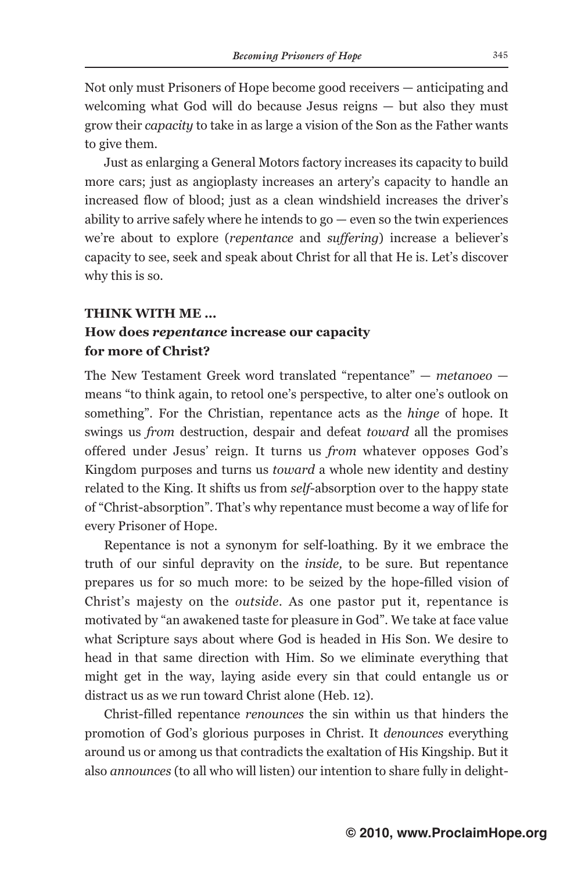Not only must Prisoners of Hope become good receivers — anticipating and welcoming what God will do because Jesus reigns — but also they must grow their *capacity* to take in as large a vision of the Son as the Father wants to give them.

Just as enlarging a General Motors factory increases its capacity to build more cars; just as angioplasty increases an artery's capacity to handle an increased flow of blood; just as a clean windshield increases the driver's ability to arrive safely where he intends to  $g_0$  — even so the twin experiences we're about to explore (*repentance* and *suffering*) increase a believer's capacity to see, seek and speak about Christ for all that He is. Let's discover why this is so.

### **THINK WITH ME …**

# **How does** *repentance* **increase our capacity for more of Christ?**

The New Testament Greek word translated "repentance" — *metanoeo* means "to think again, to retool one's perspective, to alter one's outlook on something". For the Christian, repentance acts as the *hinge* of hope. It swings us *from* destruction, despair and defeat *toward* all the promises offered under Jesus' reign. It turns us *from* whatever opposes God's Kingdom purposes and turns us *toward* a whole new identity and destiny related to the King. It shifts us from *self*-absorption over to the happy state of "Christ-absorption". That's why repentance must become a way of life for every Prisoner of Hope.

Repentance is not a synonym for self-loathing. By it we embrace the truth of our sinful depravity on the *inside,* to be sure. But repentance prepares us for so much more: to be seized by the hope-filled vision of Christ's majesty on the *outside.* As one pastor put it, repentance is motivated by "an awakened taste for pleasure in God". We take at face value what Scripture says about where God is headed in His Son. We desire to head in that same direction with Him. So we eliminate everything that might get in the way, laying aside every sin that could entangle us or distract us as we run toward Christ alone (Heb. 12).

Christ-filled repentance *renounces* the sin within us that hinders the promotion of God's glorious purposes in Christ. It *denounces* everything around us or among us that contradicts the exaltation of His Kingship. But it also *announces* (to all who will listen) our intention to share fully in delight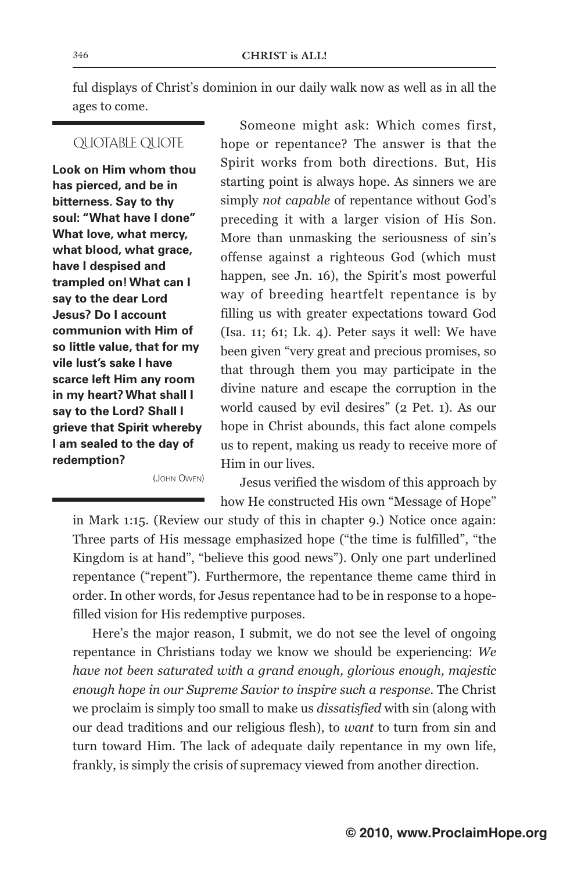ful displays of Christ's dominion in our daily walk now as well as in all the ages to come.

### QUOTABLE QUOTE

**Look on Him whom thou has pierced, and be in bitterness. Say to thy soul: "What have I done" What love, what mercy, what blood, what grace, have I despised and trampled on!What can I say to the dear Lord Jesus? Do I account communion with Him of so little value, that for my vile lust's sake I have scarce left Him any room in my heart?What shall I say to the Lord? Shall I grieve that Spirit whereby I am sealed to the day of redemption?**

Someone might ask: Which comes first, hope or repentance? The answer is that the Spirit works from both directions. But, His starting point is always hope. As sinners we are simply *not capable* of repentance without God's preceding it with a larger vision of His Son. More than unmasking the seriousness of sin's offense against a righteous God (which must happen, see Jn. 16), the Spirit's most powerful way of breeding heartfelt repentance is by filling us with greater expectations toward God (Isa. 11; 61; Lk. 4). Peter says it well: We have been given "very great and precious promises, so that through them you may participate in the divine nature and escape the corruption in the world caused by evil desires" (2 Pet. 1). As our hope in Christ abounds, this fact alone compels us to repent, making us ready to receive more of Him in our lives.

(JOHN OWEN)

Jesus verified the wisdom of this approach by how He constructed His own "Message of Hope"

in Mark 1:15. (Review our study of this in chapter 9.) Notice once again: Three parts of His message emphasized hope ("the time is fulfilled", "the Kingdom is at hand", "believe this good news"). Only one part underlined repentance ("repent"). Furthermore, the repentance theme came third in order. In other words, for Jesus repentance had to be in response to a hopefilled vision for His redemptive purposes.

Here's the major reason, I submit, we do not see the level of ongoing repentance in Christians today we know we should be experiencing: *We have not been saturated with a grand enough, glorious enough, majestic enough hope in our Supreme Savior to inspire such a response.* The Christ we proclaim is simply too small to make us *dissatisfied* with sin (along with our dead traditions and our religious flesh), to *want* to turn from sin and turn toward Him. The lack of adequate daily repentance in my own life, frankly, is simply the crisis of supremacy viewed from another direction.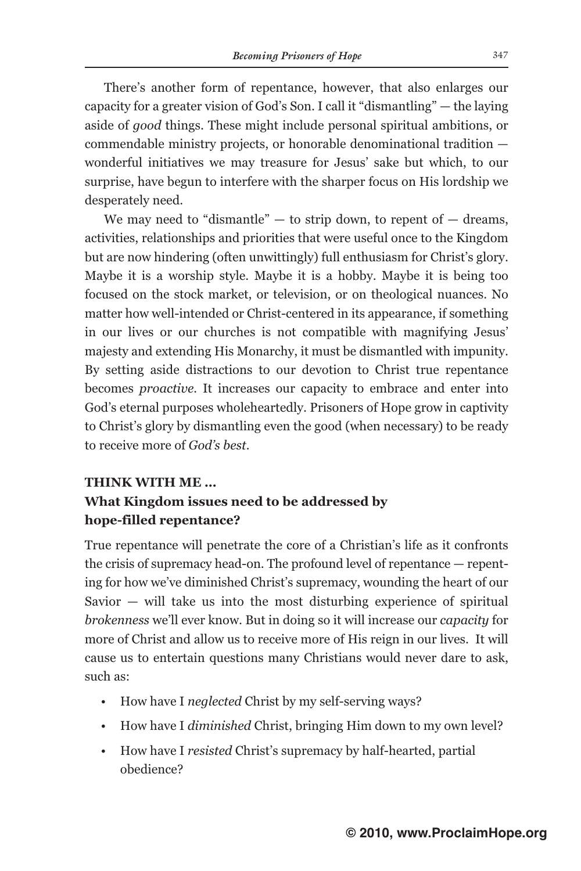There's another form of repentance, however, that also enlarges our capacity for a greater vision of God's Son. I call it "dismantling" — the laying aside of *good* things. These might include personal spiritual ambitions, or commendable ministry projects, or honorable denominational tradition wonderful initiatives we may treasure for Jesus' sake but which, to our surprise, have begun to interfere with the sharper focus on His lordship we desperately need.

We may need to "dismantle"  $-$  to strip down, to repent of  $-$  dreams, activities, relationships and priorities that were useful once to the Kingdom but are now hindering (often unwittingly) full enthusiasm for Christ's glory. Maybe it is a worship style. Maybe it is a hobby. Maybe it is being too focused on the stock market, or television, or on theological nuances. No matter how well-intended or Christ-centered in its appearance, if something in our lives or our churches is not compatible with magnifying Jesus' majesty and extending His Monarchy, it must be dismantled with impunity. By setting aside distractions to our devotion to Christ true repentance becomes *proactive.* It increases our capacity to embrace and enter into God's eternal purposes wholeheartedly. Prisoners of Hope grow in captivity to Christ's glory by dismantling even the good (when necessary) to be ready to receive more of *God's best.*

### **THINK WITH ME …**

# **What Kingdom issues need to be addressed by hope-filled repentance?**

True repentance will penetrate the core of a Christian's life as it confronts the crisis of supremacy head-on. The profound level of repentance — repenting for how we've diminished Christ's supremacy, wounding the heart of our Savior  $-$  will take us into the most disturbing experience of spiritual *brokenness* we'll ever know. But in doing so it will increase our *capacity* for more of Christ and allow us to receive more of His reign in our lives. It will cause us to entertain questions many Christians would never dare to ask, such as:

- How have I *neglected* Christ by my self-serving ways?
- How have I *diminished* Christ, bringing Him down to my own level?
- How have I *resisted* Christ's supremacy by half-hearted, partial obedience?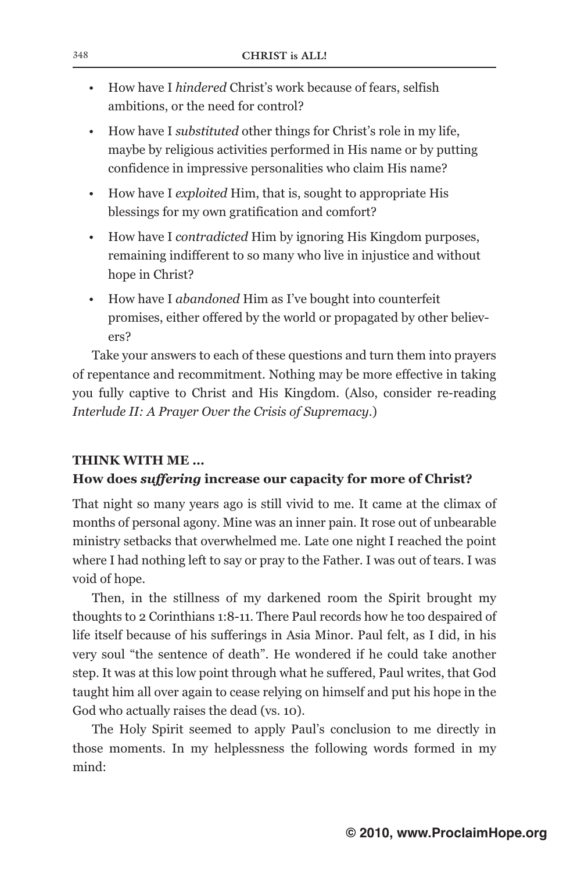- How have I *hindered* Christ's work because of fears, selfish ambitions, or the need for control?
- How have I *substituted* other things for Christ's role in my life, maybe by religious activities performed in His name or by putting confidence in impressive personalities who claim His name?
- How have I *exploited* Him, that is, sought to appropriate His blessings for my own gratification and comfort?
- How have I *contradicted* Him by ignoring His Kingdom purposes, remaining indifferent to so many who live in injustice and without hope in Christ?
- How have I *abandoned* Him as I've bought into counterfeit promises, either offered by the world or propagated by other believers?

Take your answers to each of these questions and turn them into prayers of repentance and recommitment. Nothing may be more effective in taking you fully captive to Christ and His Kingdom. (Also, consider re-reading *Interlude II: A Prayer Over the Crisis of Supremacy*.)

#### **THINK WITH ME …**

### **How does** *suffering* **increase our capacity for more of Christ?**

That night so many years ago is still vivid to me. It came at the climax of months of personal agony. Mine was an inner pain. It rose out of unbearable ministry setbacks that overwhelmed me. Late one night I reached the point where I had nothing left to say or pray to the Father. I was out of tears. I was void of hope.

Then, in the stillness of my darkened room the Spirit brought my thoughts to 2 Corinthians 1:8-11. There Paul records how he too despaired of life itself because of his sufferings in Asia Minor. Paul felt, as I did, in his very soul "the sentence of death". He wondered if he could take another step. It was at this low point through what he suffered, Paul writes, that God taught him all over again to cease relying on himself and put his hope in the God who actually raises the dead (vs. 10).

The Holy Spirit seemed to apply Paul's conclusion to me directly in those moments. In my helplessness the following words formed in my mind: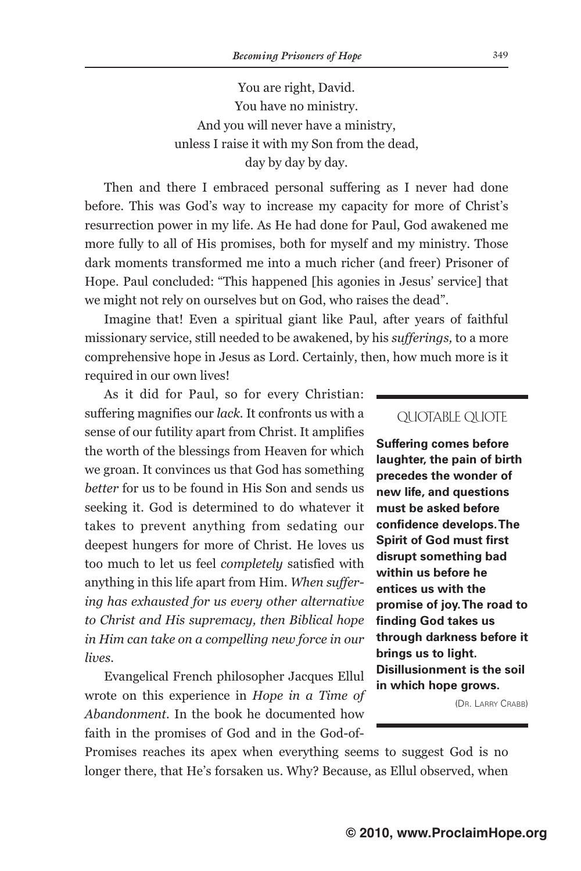You are right, David. You have no ministry. And you will never have a ministry, unless I raise it with my Son from the dead, day by day.

Then and there I embraced personal suffering as I never had done before. This was God's way to increase my capacity for more of Christ's resurrection power in my life. As He had done for Paul, God awakened me more fully to all of His promises, both for myself and my ministry. Those dark moments transformed me into a much richer (and freer) Prisoner of Hope. Paul concluded: "This happened [his agonies in Jesus' service] that we might not rely on ourselves but on God, who raises the dead".

Imagine that! Even a spiritual giant like Paul, after years of faithful missionary service, still needed to be awakened, by his *sufferings,* to a more comprehensive hope in Jesus as Lord. Certainly, then, how much more is it required in our own lives!

As it did for Paul, so for every Christian: suffering magnifies our *lack.* It confronts us with a sense of our futility apart from Christ. It amplifies the worth of the blessings from Heaven for which we groan. It convinces us that God has something *better* for us to be found in His Son and sends us seeking it. God is determined to do whatever it takes to prevent anything from sedating our deepest hungers for more of Christ. He loves us too much to let us feel *completely* satisfied with anything in this life apart from Him. *When suffering has exhausted for us every other alternative to Christ and His supremacy, then Biblical hope in Him can take on a compelling new force in our lives.*

Evangelical French philosopher Jacques Ellul wrote on this experience in *Hope in a Time of Abandonment.* In the book he documented how faith in the promises of God and in the God-ofQUOTABLE QUOTE

**Suffering comes before laughter, the pain of birth precedes the wonder of new life, and questions must be asked before confidence develops.The Spirit of God must first disrupt something bad within us before he entices us with the promise of joy.The road to finding God takes us through darkness before it brings us to light. Disillusionment is the soil in which hope grows.**

(DR. LARRY CRABB)

Promises reaches its apex when everything seems to suggest God is no longer there, that He's forsaken us. Why? Because, as Ellul observed, when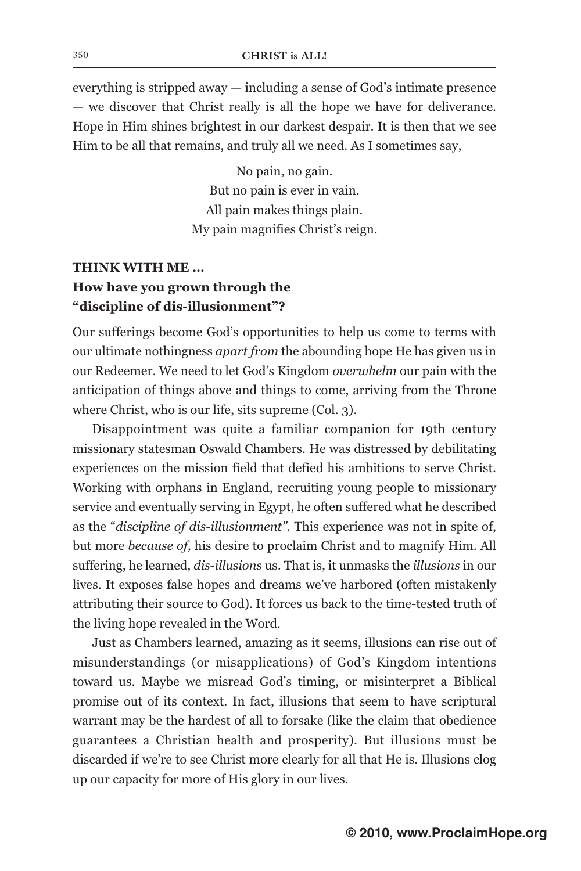everything is stripped away — including a sense of God's intimate presence — we discover that Christ really is all the hope we have for deliverance. Hope in Him shines brightest in our darkest despair. It is then that we see Him to be all that remains, and truly all we need. As I sometimes say,

> No pain, no gain. But no pain is ever in vain. All pain makes things plain. My pain magnifies Christ's reign.

# **THINK WITH ME … How have you grown through the "discipline of dis-illusionment"?**

Our sufferings become God's opportunities to help us come to terms with our ultimate nothingness *apart from* the abounding hope He has given us in our Redeemer. We need to let God's Kingdom *overwhelm* our pain with the anticipation of things above and things to come, arriving from the Throne where Christ, who is our life, sits supreme (Col. 3).

Disappointment was quite a familiar companion for 19th century missionary statesman Oswald Chambers. He was distressed by debilitating experiences on the mission field that defied his ambitions to serve Christ. Working with orphans in England, recruiting young people to missionary service and eventually serving in Egypt, he often suffered what he described as the "*discipline of dis-illusionment".* This experience was not in spite of, but more *because of,* his desire to proclaim Christ and to magnify Him. All suffering, he learned, *dis-illusions* us. That is, it unmasks the *illusions* in our lives. It exposes false hopes and dreams we've harbored (often mistakenly attributing their source to God). It forces us back to the time-tested truth of the living hope revealed in the Word.

Just as Chambers learned, amazing as it seems, illusions can rise out of misunderstandings (or misapplications) of God's Kingdom intentions toward us. Maybe we misread God's timing, or misinterpret a Biblical promise out of its context. In fact, illusions that seem to have scriptural warrant may be the hardest of all to forsake (like the claim that obedience guarantees a Christian health and prosperity). But illusions must be discarded if we're to see Christ more clearly for all that He is. Illusions clog up our capacity for more of His glory in our lives.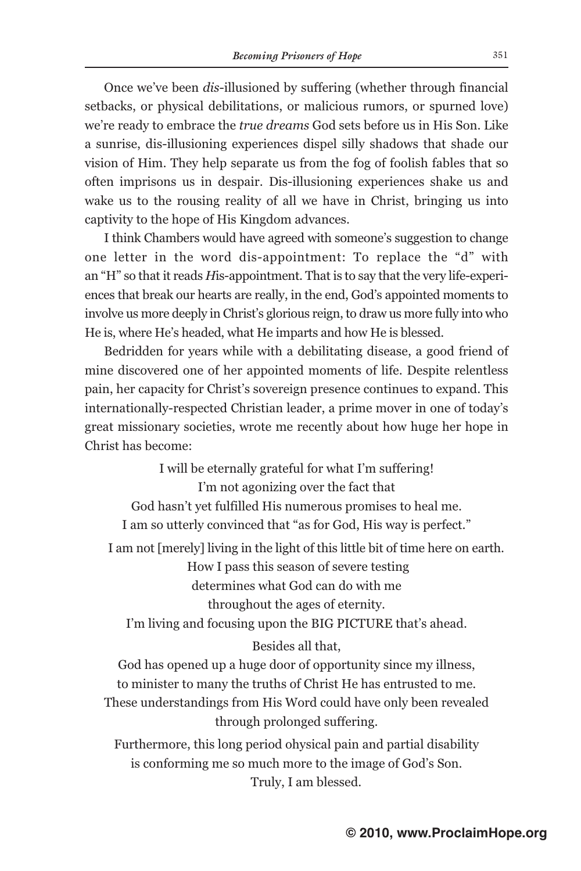Once we've been *dis*-illusioned by suffering (whether through financial setbacks, or physical debilitations, or malicious rumors, or spurned love) we're ready to embrace the *true dreams* God sets before us in His Son. Like a sunrise, dis-illusioning experiences dispel silly shadows that shade our vision of Him. They help separate us from the fog of foolish fables that so often imprisons us in despair. Dis-illusioning experiences shake us and wake us to the rousing reality of all we have in Christ, bringing us into captivity to the hope of His Kingdom advances.

I think Chambers would have agreed with someone's suggestion to change one letter in the word dis-appointment: To replace the "d" with an "H" so that it reads *H*is-appointment. That is to say that the very life-experiences that break our hearts are really, in the end, God's appointed moments to involve us more deeply in Christ's glorious reign, to draw us more fully into who He is, where He's headed, what He imparts and how He is blessed.

Bedridden for years while with a debilitating disease, a good friend of mine discovered one of her appointed moments of life. Despite relentless pain, her capacity for Christ's sovereign presence continues to expand. This internationally-respected Christian leader, a prime mover in one of today's great missionary societies, wrote me recently about how huge her hope in Christ has become:

I will be eternally grateful for what I'm suffering!

I'm not agonizing over the fact that

God hasn't yet fulfilled His numerous promises to heal me.

I am so utterly convinced that "as for God, His way is perfect."

I am not [merely] living in the light of this little bit of time here on earth.

How I pass this season of severe testing determines what God can do with me

throughout the ages of eternity.

I'm living and focusing upon the BIG PICTURE that's ahead.

Besides all that,

God has opened up a huge door of opportunity since my illness, to minister to many the truths of Christ He has entrusted to me. These understandings from His Word could have only been revealed through prolonged suffering.

Furthermore, this long period ohysical pain and partial disability is conforming me so much more to the image of God's Son. Truly, I am blessed.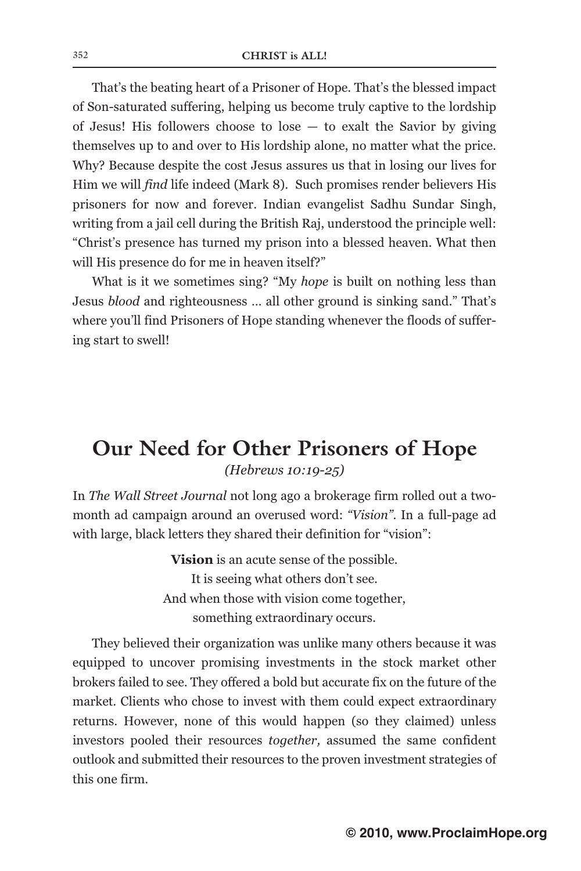That's the beating heart of a Prisoner of Hope. That's the blessed impact of Son-saturated suffering, helping us become truly captive to the lordship of Jesus! His followers choose to lose — to exalt the Savior by giving themselves up to and over to His lordship alone, no matter what the price. Why? Because despite the cost Jesus assures us that in losing our lives for Him we will *find* life indeed (Mark 8). Such promises render believers His prisoners for now and forever. Indian evangelist Sadhu Sundar Singh, writing from a jail cell during the British Raj, understood the principle well: "Christ's presence has turned my prison into a blessed heaven. What then will His presence do for me in heaven itself?"

What is it we sometimes sing? "My *hope* is built on nothing less than Jesus *blood* and righteousness … all other ground is sinking sand." That's where you'll find Prisoners of Hope standing whenever the floods of suffering start to swell!

# **Our Need for Other Prisoners of Hope** *(Hebrews 10:19-25)*

In *The Wall Street Journal* not long ago a brokerage firm rolled out a twomonth ad campaign around an overused word: *"Vision".* In a full-page ad with large, black letters they shared their definition for "vision":

> **Vision** is an acute sense of the possible. It is seeing what others don't see. And when those with vision come together, something extraordinary occurs.

They believed their organization was unlike many others because it was equipped to uncover promising investments in the stock market other brokers failed to see. They offered a bold but accurate fix on the future of the market. Clients who chose to invest with them could expect extraordinary returns. However, none of this would happen (so they claimed) unless investors pooled their resources *together,* assumed the same confident outlook and submitted their resources to the proven investment strategies of this one firm.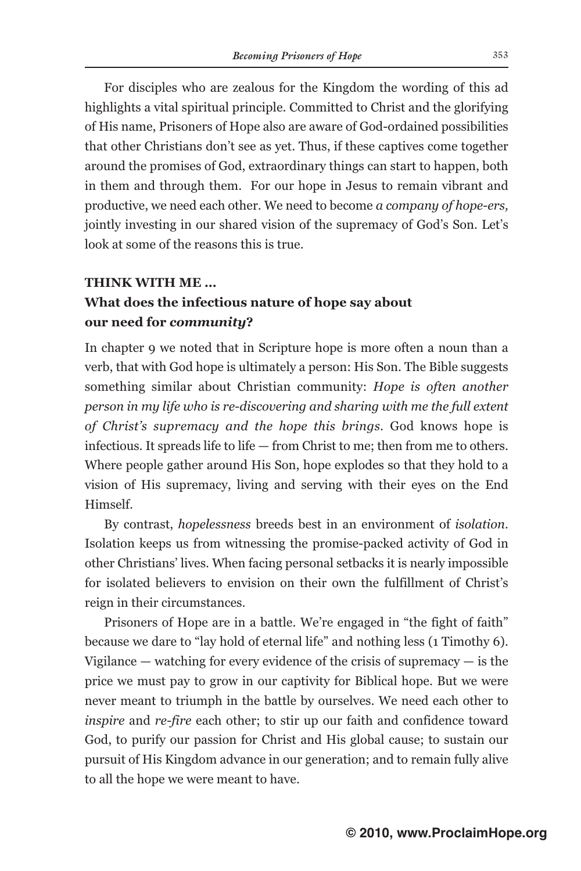For disciples who are zealous for the Kingdom the wording of this ad highlights a vital spiritual principle. Committed to Christ and the glorifying of His name, Prisoners of Hope also are aware of God-ordained possibilities that other Christians don't see as yet. Thus, if these captives come together around the promises of God, extraordinary things can start to happen, both in them and through them. For our hope in Jesus to remain vibrant and productive, we need each other. We need to become *a company of hope-ers,* jointly investing in our shared vision of the supremacy of God's Son. Let's look at some of the reasons this is true.

# **THINK WITH ME … What does the infectious nature of hope say about our need for** *community***?**

In chapter 9 we noted that in Scripture hope is more often a noun than a verb, that with God hope is ultimately a person: His Son. The Bible suggests something similar about Christian community: *Hope is often another person in my life who is re-discovering and sharing with me the full extent of Christ's supremacy and the hope this brings.* God knows hope is infectious. It spreads life to life — from Christ to me; then from me to others. Where people gather around His Son, hope explodes so that they hold to a vision of His supremacy, living and serving with their eyes on the End Himself.

By contrast, *hopelessness* breeds best in an environment of *isolation*. Isolation keeps us from witnessing the promise-packed activity of God in other Christians' lives. When facing personal setbacks it is nearly impossible for isolated believers to envision on their own the fulfillment of Christ's reign in their circumstances.

Prisoners of Hope are in a battle. We're engaged in "the fight of faith" because we dare to "lay hold of eternal life" and nothing less (1 Timothy 6). Vigilance  $-$  watching for every evidence of the crisis of supremacy  $-$  is the price we must pay to grow in our captivity for Biblical hope. But we were never meant to triumph in the battle by ourselves. We need each other to *inspire* and *re-fire* each other; to stir up our faith and confidence toward God, to purify our passion for Christ and His global cause; to sustain our pursuit of His Kingdom advance in our generation; and to remain fully alive to all the hope we were meant to have.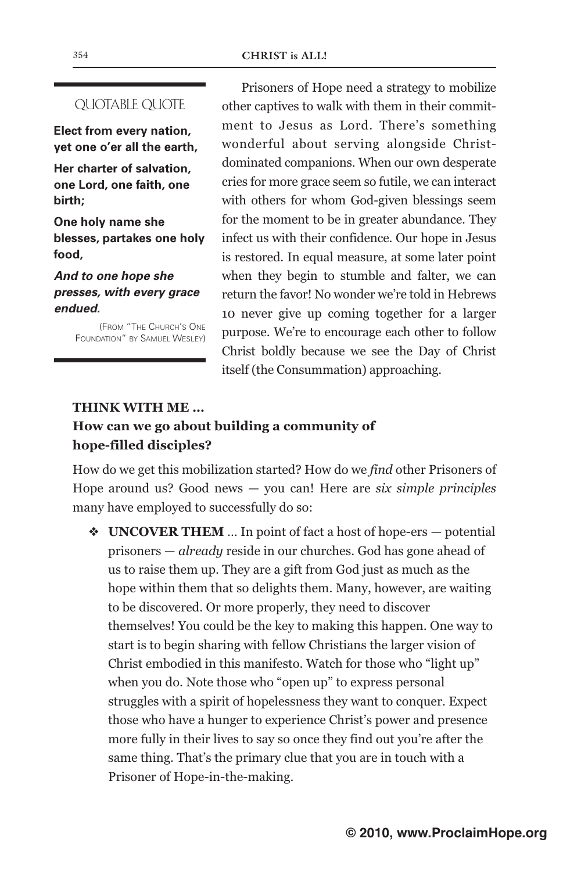### QUOTABLE QUOTE

**Elect from every nation, yet one o'er all the earth,**

**Her charter of salvation, one Lord, one faith, one birth;**

**One holy name she blesses, partakes one holy food,**

### *And to one hope she presses, with every grace endued.*

(FROM "THE CHURCH'S ONE FOUNDATION" BY SAMUEL WESLEY)

Prisoners of Hope need a strategy to mobilize other captives to walk with them in their commitment to Jesus as Lord. There's something wonderful about serving alongside Christdominated companions. When our own desperate cries for more grace seem so futile, we can interact with others for whom God-given blessings seem for the moment to be in greater abundance. They infect us with their confidence. Our hope in Jesus is restored. In equal measure, at some later point when they begin to stumble and falter, we can return the favor! No wonder we're told in Hebrews 10 never give up coming together for a larger purpose. We're to encourage each other to follow Christ boldly because we see the Day of Christ itself (the Consummation) approaching.

# **THINK WITH ME … How can we go about building a community of hope-filled disciples?**

How do we get this mobilization started? How do we *find* other Prisoners of Hope around us? Good news — you can! Here are *six simple principles* many have employed to successfully do so:

❖ **UNCOVER THEM** … In point of fact a host of hope-ers — potential prisoners — *already* reside in our churches. God has gone ahead of us to raise them up. They are a gift from God just as much as the hope within them that so delights them. Many, however, are waiting to be discovered. Or more properly, they need to discover themselves! You could be the key to making this happen. One way to start is to begin sharing with fellow Christians the larger vision of Christ embodied in this manifesto. Watch for those who "light up" when you do. Note those who "open up" to express personal struggles with a spirit of hopelessness they want to conquer. Expect those who have a hunger to experience Christ's power and presence more fully in their lives to say so once they find out you're after the same thing. That's the primary clue that you are in touch with a Prisoner of Hope-in-the-making.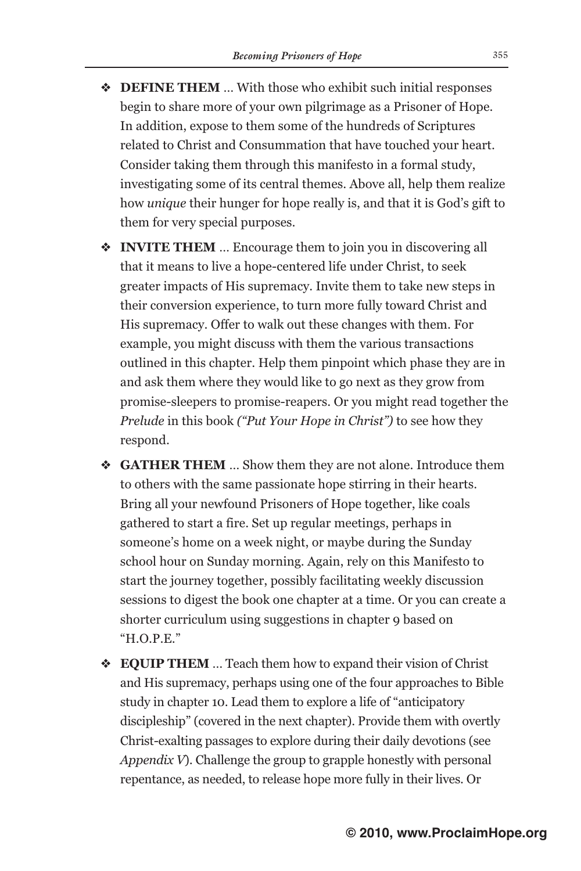- ❖ **DEFINE THEM** … With those who exhibit such initial responses begin to share more of your own pilgrimage as a Prisoner of Hope. In addition, expose to them some of the hundreds of Scriptures related to Christ and Consummation that have touched your heart. Consider taking them through this manifesto in a formal study, investigating some of its central themes. Above all, help them realize how *unique* their hunger for hope really is, and that it is God's gift to them for very special purposes.
- ❖ **INVITE THEM** … Encourage them to join you in discovering all that it means to live a hope-centered life under Christ, to seek greater impacts of His supremacy. Invite them to take new steps in their conversion experience, to turn more fully toward Christ and His supremacy. Offer to walk out these changes with them. For example, you might discuss with them the various transactions outlined in this chapter. Help them pinpoint which phase they are in and ask them where they would like to go next as they grow from promise-sleepers to promise-reapers. Or you might read together the *Prelude* in this book *("Put Your Hope in Christ")* to see how they respond.
- ❖ **GATHER THEM** … Show them they are not alone. Introduce them to others with the same passionate hope stirring in their hearts. Bring all your newfound Prisoners of Hope together, like coals gathered to start a fire. Set up regular meetings, perhaps in someone's home on a week night, or maybe during the Sunday school hour on Sunday morning. Again, rely on this Manifesto to start the journey together, possibly facilitating weekly discussion sessions to digest the book one chapter at a time. Or you can create a shorter curriculum using suggestions in chapter 9 based on "H.O.P.E."
- ❖ **EQUIP THEM** … Teach them how to expand their vision of Christ and His supremacy, perhaps using one of the four approaches to Bible study in chapter 10. Lead them to explore a life of "anticipatory discipleship" (covered in the next chapter). Provide them with overtly Christ-exalting passages to explore during their daily devotions (see *Appendix V*). Challenge the group to grapple honestly with personal repentance, as needed, to release hope more fully in their lives. Or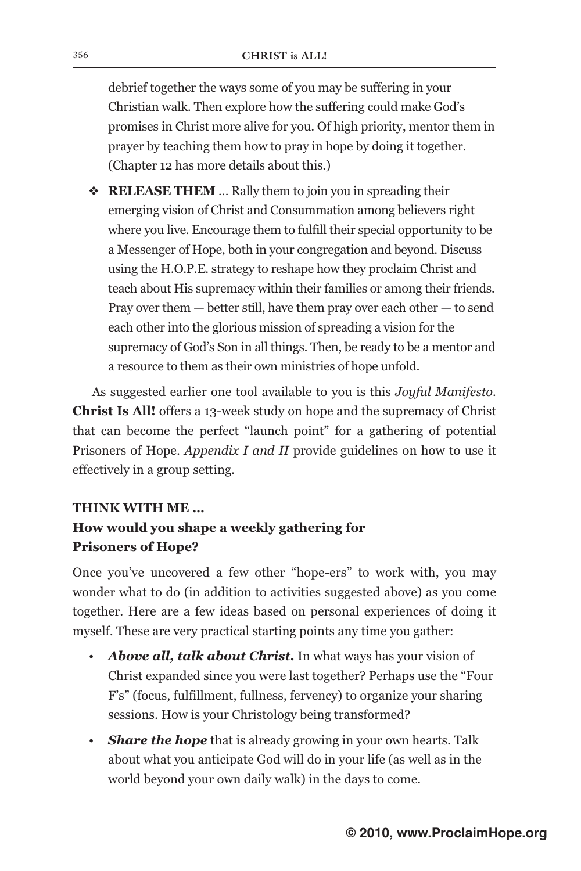debrief together the ways some of you may be suffering in your Christian walk. Then explore how the suffering could make God's promises in Christ more alive for you. Of high priority, mentor them in prayer by teaching them how to pray in hope by doing it together. (Chapter 12 has more details about this.)

❖ **RELEASE THEM** … Rally them to join you in spreading their emerging vision of Christ and Consummation among believers right where you live. Encourage them to fulfill their special opportunity to be a Messenger of Hope, both in your congregation and beyond. Discuss using the H.O.P.E. strategy to reshape how they proclaim Christ and teach about His supremacy within their families or among their friends. Pray over them — better still, have them pray over each other — to send each other into the glorious mission of spreading a vision for the supremacy of God's Son in all things. Then, be ready to be a mentor and a resource to them as their own ministries of hope unfold.

As suggested earlier one tool available to you is this *Joyful Manifesto.* **Christ Is All!** offers a 13-week study on hope and the supremacy of Christ that can become the perfect "launch point" for a gathering of potential Prisoners of Hope. *Appendix I and II* provide guidelines on how to use it effectively in a group setting.

### **THINK WITH ME …**

# **How would you shape a weekly gathering for Prisoners of Hope?**

Once you've uncovered a few other "hope-ers" to work with, you may wonder what to do (in addition to activities suggested above) as you come together. Here are a few ideas based on personal experiences of doing it myself. These are very practical starting points any time you gather:

- *Above all, talk about Christ.* In what ways has your vision of Christ expanded since you were last together? Perhaps use the "Four F's" (focus, fulfillment, fullness, fervency) to organize your sharing sessions. How is your Christology being transformed?
- *Share the hope* that is already growing in your own hearts. Talk about what you anticipate God will do in your life (as well as in the world beyond your own daily walk) in the days to come.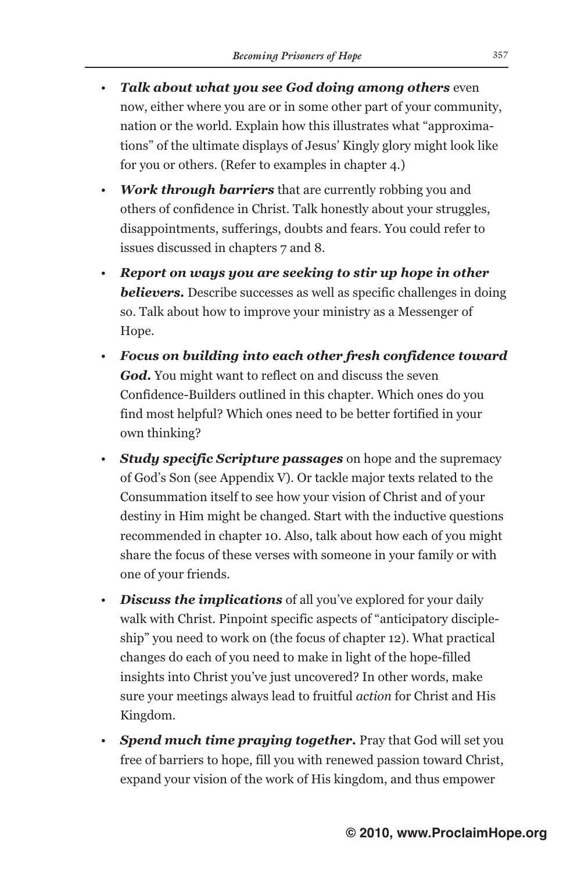- *Talk about what you see God doing among others* even now, either where you are or in some other part of your community, nation or the world. Explain how this illustrates what "approximations" of the ultimate displays of Jesus' Kingly glory might look like for you or others. (Refer to examples in chapter 4.)
- *Work through barriers* that are currently robbing you and others of confidence in Christ. Talk honestly about your struggles, disappointments, sufferings, doubts and fears. You could refer to issues discussed in chapters 7 and 8.
- *Report on ways you are seeking to stir up hope in other* **believers.** Describe successes as well as specific challenges in doing so. Talk about how to improve your ministry as a Messenger of Hope.
- *Focus on building into each other fresh confidence toward God.* You might want to reflect on and discuss the seven Confidence-Builders outlined in this chapter. Which ones do you find most helpful? Which ones need to be better fortified in your own thinking?
- *Study specific Scripture passages* on hope and the supremacy of God's Son (see Appendix V). Or tackle major texts related to the Consummation itself to see how your vision of Christ and of your destiny in Him might be changed. Start with the inductive questions recommended in chapter 10. Also, talk about how each of you might share the focus of these verses with someone in your family or with one of your friends.
- *Discuss the implications* of all you've explored for your daily walk with Christ. Pinpoint specific aspects of "anticipatory discipleship" you need to work on (the focus of chapter 12). What practical changes do each of you need to make in light of the hope-filled insights into Christ you've just uncovered? In other words, make sure your meetings always lead to fruitful *action* for Christ and His Kingdom.
- *Spend much time praying together.* Pray that God will set you free of barriers to hope, fill you with renewed passion toward Christ, expand your vision of the work of His kingdom, and thus empower